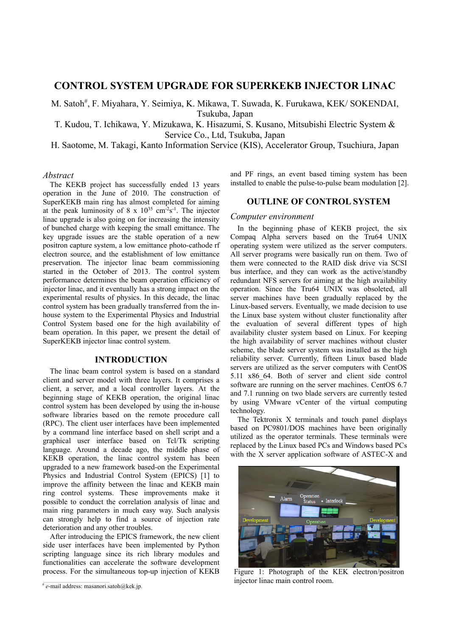# **CONTROL SYSTEM UPGRADE FOR SUPERKEKB INJECTOR LINAC**

M. Satoh<sup>#</sup>, F. Miyahara, Y. Seimiya, K. Mikawa, T. Suwada, K. Furukawa, KEK/ SOKENDAI, Tsukuba, Japan

T. Kudou, T. Ichikawa, Y. Mizukawa, K. Hisazumi, S. Kusano, Mitsubishi Electric System & Service Co., Ltd, Tsukuba, Japan

H. Saotome, M. Takagi, Kanto Information Service (KIS), Accelerator Group, Tsuchiura, Japan

## *Abstract*

The KEKB project has successfully ended 13 years operation in the June of 2010. The construction of SuperKEKB main ring has almost completed for aiming at the peak luminosity of 8 x  $10^{35}$  cm<sup>-2</sup>s<sup>-1</sup>. The injector linac upgrade is also going on for increasing the intensity of bunched charge with keeping the small emittance. The key upgrade issues are the stable operation of a new positron capture system, a low emittance photo-cathode rf electron source, and the establishment of low emittance preservation. The injector linac beam commissioning started in the October of 2013. The control system performance determines the beam operation efficiency of injector linac, and it eventually has a strong impact on the experimental results of physics. In this decade, the linac control system has been gradually transferred from the inhouse system to the Experimental Physics and Industrial Control System based one for the high availability of beam operation. In this paper, we present the detail of SuperKEKB injector linac control system.

## **INTRODUCTION**

The linac beam control system is based on a standard client and server model with three layers. It comprises a client, a server, and a local controller layers. At the beginning stage of KEKB operation, the original linac control system has been developed by using the in-house software libraries based on the remote procedure call (RPC). The client user interfaces have been implemented by a command line interface based on shell script and a graphical user interface based on Tcl/Tk scripting language. Around a decade ago, the middle phase of KEKB operation, the linac control system has been upgraded to a new framework based-on the Experimental Physics and Industrial Control System (EPICS) [1] to improve the affinity between the linac and KEKB main ring control systems. These improvements make it possible to conduct the correlation analysis of linac and main ring parameters in much easy way. Such analysis can strongly help to find a source of injection rate deterioration and any other troubles.

After introducing the EPICS framework, the new client side user interfaces have been implemented by Python scripting language since its rich library modules and functionalities can accelerate the software development process. For the simultaneous top-up injection of KEKB

and PF rings, an event based timing system has been installed to enable the pulse-to-pulse beam modulation [2].

# **OUTLINE OF CONTROL SYSTEM**

## *Computer environment*

In the beginning phase of KEKB project, the six Compaq Alpha servers based on the Tru64 UNIX operating system were utilized as the server computers. All server programs were basically run on them. Two of them were connected to the RAID disk drive via SCSI bus interface, and they can work as the active/standby redundant NFS servers for aiming at the high availability operation. Since the Tru64 UNIX was obsoleted, all server machines have been gradually replaced by the Linux-based servers. Eventually, we made decision to use the Linux base system without cluster functionality after the evaluation of several different types of high availability cluster system based on Linux. For keeping the high availability of server machines without cluster scheme, the blade server system was installed as the high reliability server. Currently, fifteen Linux based blade servers are utilized as the server computers with CentOS 5.11 x86\_64. Both of server and client side control software are running on the server machines. CentOS 6.7 and 7.1 running on two blade servers are currently tested by using VMware vCenter of the virtual computing technology.

The Tektronix X terminals and touch panel displays based on PC9801/DOS machines have been originally utilized as the operator terminals. These terminals were replaced by the Linux based PCs and Windows based PCs with the X server application software of ASTEC-X and



Figure 1: Photograph of the KEK electron/positron injector linac main control room.

\_\_\_\_\_\_\_\_\_\_\_\_\_\_\_\_\_\_\_\_\_\_\_\_\_\_\_\_\_\_\_\_\_\_\_\_\_\_\_\_\_\_\_ # *e*-mail address: masanori.satoh@kek.jp.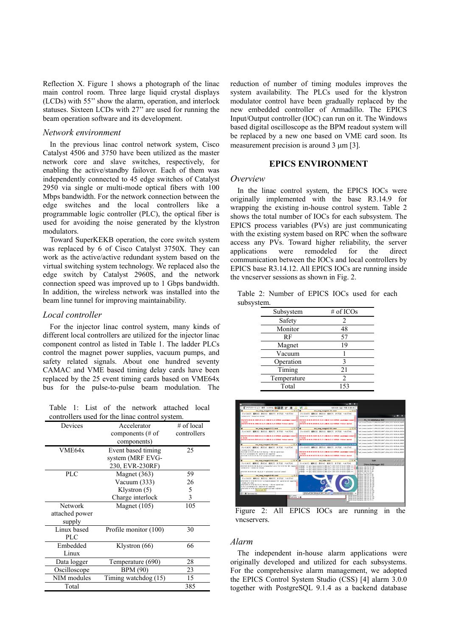Reflection X. Figure 1 shows a photograph of the linac main control room. Three large liquid crystal displays (LCDs) with 55'' show the alarm, operation, and interlock statuses. Sixteen LCDs with 27'' are used for running the beam operation software and its development.

## *Network environment*

In the previous linac control network system, Cisco Catalyst 4506 and 3750 have been utilized as the master network core and slave switches, respectively, for enabling the active/standby failover. Each of them was independently connected to 45 edge switches of Catalyst 2950 via single or multi-mode optical fibers with 100 Mbps bandwidth. For the network connection between the edge switches and the local controllers like a programmable logic controller (PLC), the optical fiber is used for avoiding the noise generated by the klystron modulators.

Toward SuperKEKB operation, the core switch system was replaced by 6 of Cisco Catalyst 3750X. They can work as the active/active redundant system based on the virtual switching system technology. We replaced also the edge switch by Catalyst 2960S, and the network connection speed was improved up to 1 Gbps bandwidth. In addition, the wireless network was installed into the beam line tunnel for improving maintainability.

## *Local controller*

For the injector linac control system, many kinds of different local controllers are utilized for the injector linac component control as listed in Table 1. The ladder PLCs control the magnet power supplies, vacuum pumps, and safety related signals. About one hundred seventy CAMAC and VME based timing delay cards have been replaced by the 25 event timing cards based on VME64x bus for the pulse-to-pulse beam modulation. The

Table 1: List of the network attached local controllers used for the linac control system.

| controllers ased for the linge control system. |                              |              |
|------------------------------------------------|------------------------------|--------------|
| Devices                                        | Accelerator                  | $#$ of local |
|                                                | components $(\# \text{ of }$ | controllers  |
|                                                | components)                  |              |
| VME64x                                         | Event based timing           | 25           |
|                                                | system (MRF EVG-             |              |
|                                                | 230, EVR-230RF)              |              |
| <b>PLC</b>                                     | Magnet (363)                 | 59           |
|                                                | Vacuum (333)                 | 26           |
|                                                | Klystron (5)                 | 5            |
|                                                | Charge interlock             | 3            |
| Network                                        | Magnet (105)                 | 105          |
| attached power                                 |                              |              |
| supply                                         |                              |              |
| Linux based                                    | Profile monitor (100)        | 30           |
| <b>PLC</b>                                     |                              |              |
| Embedded                                       | Klystron (66)                | 66           |
| Linux                                          |                              |              |
| Data logger                                    | Temperature (690)            | 28           |
| Oscilloscope                                   | <b>BPM</b> (90)              | 23           |
| NIM modules                                    | Timing watchdog $(15)$       | 15           |
| Total                                          |                              | 385          |

reduction of number of timing modules improves the system availability. The PLCs used for the klystron modulator control have been gradually replaced by the new embedded controller of Armadillo. The EPICS Input/Output controller (IOC) can run on it. The Windows based digital oscilloscope as the BPM readout system will be replaced by a new one based on VME card soon. Its measurement precision is around  $3 \mu m$  [3].

# **EPICS ENVIRONMENT**

## *Overview*

In the linac control system, the EPICS IOCs were originally implemented with the base R3.14.9 for wrapping the existing in-house control system. Table 2 shows the total number of IOCs for each subsystem. The EPICS process variables (PVs) are just communicating with the existing system based on RPC when the software access any PVs. Toward higher reliability, the server applications were remodeled for the direct communication between the IOCs and local controllers by EPICS base R3.14.12. All EPICS IOCs are running inside the vncserver sessions as shown in Fig. 2.

Table 2: Number of EPICS IOCs used for each subsystem.

| Subsystem   | # of ICOs      |
|-------------|----------------|
| Safety      | 2              |
| Monitor     | 48             |
| RF          | 57             |
| Magnet      | 19             |
| Vacuum      |                |
| Operation   | 3              |
| Timing      | 21             |
| Temperature | $\overline{c}$ |
| Total       | 153            |



Figure 2: All EPICS IOCs are running in the vncservers.

# *Alarm*

The independent in-house alarm applications were originally developed and utilized for each subsystems. For the comprehensive alarm management, we adopted the EPICS Control System Studio (CSS) [4] alarm 3.0.0 together with PostgreSQL 9.1.4 as a backend database